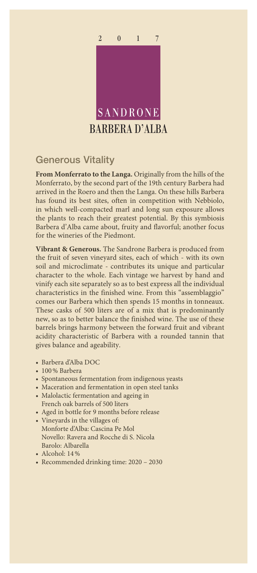

## Generous Vitality

**From Monferrato to the Langa.** Originally from the hills of the Monferrato, by the second part of the 19th century Barbera had arrived in the Roero and then the Langa. On these hills Barbera has found its best sites, often in competition with Nebbiolo, in which well-compacted marl and long sun exposure allows the plants to reach their greatest potential. By this symbiosis Barbera d'Alba came about, fruity and flavorful; another focus for the wineries of the Piedmont.

**Vibrant & Generous.** The Sandrone Barbera is produced from the fruit of seven vineyard sites, each of which - with its own soil and microclimate - contributes its unique and particular character to the whole. Each vintage we harvest by hand and vinify each site separately so as to best express all the individual characteristics in the finished wine. From this "assemblaggio" comes our Barbera which then spends 15 months in tonneaux. These casks of 500 liters are of a mix that is predominantly new, so as to better balance the finished wine. The use of these barrels brings harmony between the forward fruit and vibrant acidity characteristic of Barbera with a rounded tannin that gives balance and ageability.

- Barbera d'Alba DOC
- 100% Barbera
- Spontaneous fermentation from indigenous yeasts
- Maceration and fermentation in open steel tanks
- Malolactic fermentation and ageing in French oak barrels of 500 liters
- Aged in bottle for 9 months before release
- Vineyards in the villages of: Monforte d'Alba: Cascina Pe Mol Novello: Ravera and Rocche di S. Nicola Barolo: Albarella
- Alcohol: 14%
- Recommended drinking time: 2020 2030